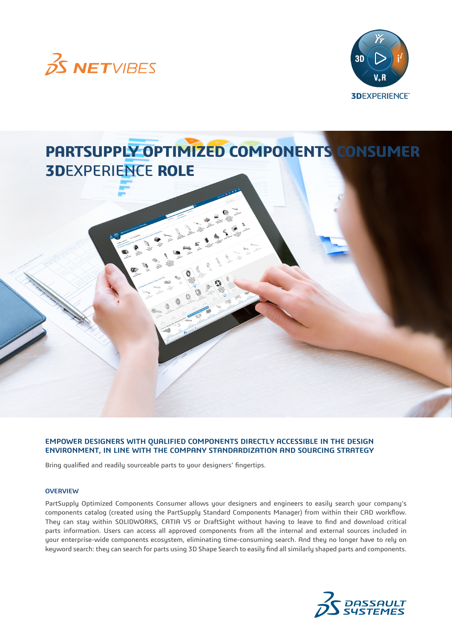



# **PARTSUPPLY OPTIMIZED COMPONENTS CONSUMER 3D**EXPERIENCE **ROLE**

### **EMPOWER DESIGNERS WITH QUALIFIED COMPONENTS DIRECTLY ACCESSIBLE IN THE DESIGN ENVIRONMENT, IN LINE WITH THE COMPANY STANDARDIZATION AND SOURCING STRATEGY**

Bring qualified and readily sourceable parts to your designers' fingertips.

#### **OVERVIEW**

PartSupply Optimized Components Consumer allows your designers and engineers to easily search your company's components catalog (created using the PartSupply Standard Components Manager) from within their CAD workflow. They can stay within SOLIDWORKS, CATIA V5 or DraftSight without having to leave to find and download critical parts information. Users can access all approved components from all the internal and external sources included in your enterprise-wide components ecosystem, eliminating time-consuming search. And they no longer have to rely on keyword search: they can search for parts using 3D Shape Search to easily find all similarly shaped parts and components.